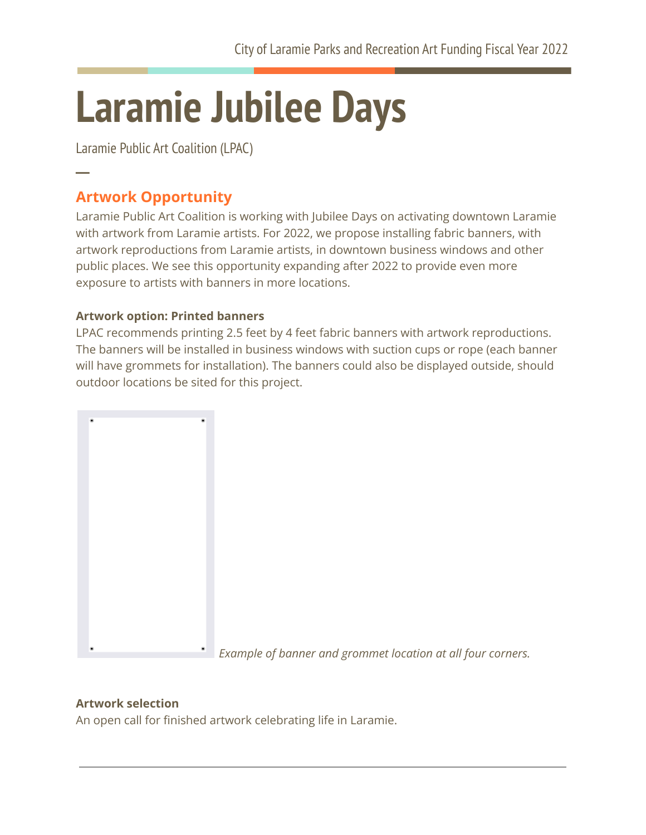# **Laramie Jubilee Days**

Laramie Public Art Coalition (LPAC)

# **Artwork Opportunity**

**─**

Laramie Public Art Coalition is working with Jubilee Days on activating downtown Laramie with artwork from Laramie artists. For 2022, we propose installing fabric banners, with artwork reproductions from Laramie artists, in downtown business windows and other public places. We see this opportunity expanding after 2022 to provide even more exposure to artists with banners in more locations.

### **Artwork option: Printed banners**

LPAC recommends printing 2.5 feet by 4 feet fabric banners with artwork reproductions. The banners will be installed in business windows with suction cups or rope (each banner will have grommets for installation). The banners could also be displayed outside, should outdoor locations be sited for this project.



## **Artwork selection**

An open call for finished artwork celebrating life in Laramie.